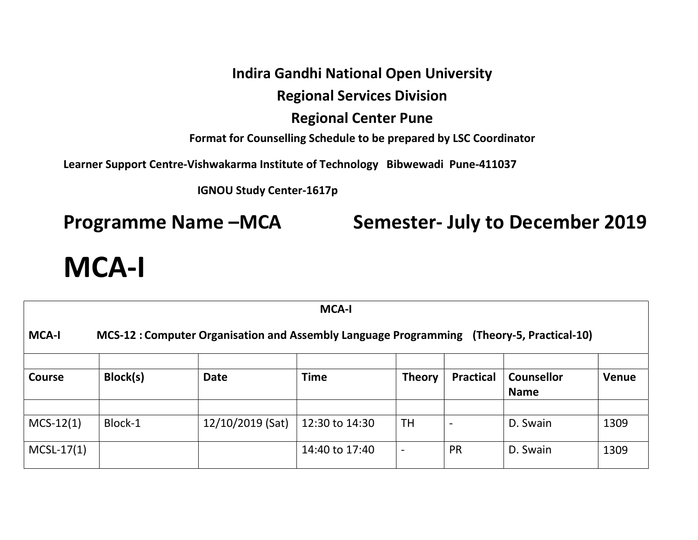### Indira Gandhi National Open University

## Regional Services Division

#### Regional Center Pune

Format for Counselling Schedule to be prepared by LSC Coordinator

Learner Support Centre-Vishwakarma Institute of Technology Bibwewadi Pune-411037

IGNOU Study Center-1617p

Programme Name –MCA Semester- July to December 2019

# MCA-I

| <b>MCA-I</b>                                                                                             |          |                  |                |                |                  |                                  |       |  |
|----------------------------------------------------------------------------------------------------------|----------|------------------|----------------|----------------|------------------|----------------------------------|-------|--|
| <b>MCA-I</b><br>MCS-12: Computer Organisation and Assembly Language Programming (Theory-5, Practical-10) |          |                  |                |                |                  |                                  |       |  |
| <b>Course</b>                                                                                            | Block(s) | <b>Date</b>      | <b>Time</b>    | <b>Theory</b>  | <b>Practical</b> | <b>Counsellor</b><br><b>Name</b> | Venue |  |
|                                                                                                          |          |                  |                |                |                  |                                  |       |  |
| $MCS-12(1)$                                                                                              | Block-1  | 12/10/2019 (Sat) | 12:30 to 14:30 | <b>TH</b>      |                  | D. Swain                         | 1309  |  |
| $MCSL-17(1)$                                                                                             |          |                  | 14:40 to 17:40 | $\overline{a}$ | <b>PR</b>        | D. Swain                         | 1309  |  |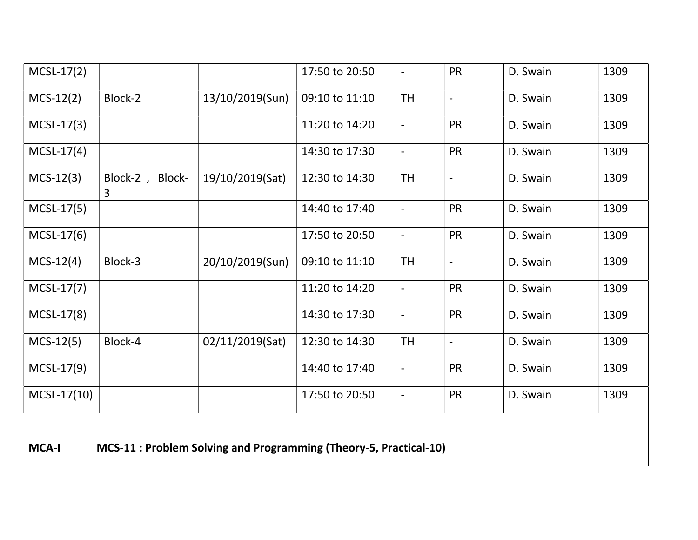| $MCSL-17(2)$  |                                                                         |                 | 17:50 to 20:50 |                          | <b>PR</b>      | D. Swain | 1309 |
|---------------|-------------------------------------------------------------------------|-----------------|----------------|--------------------------|----------------|----------|------|
| $MCS-12(2)$   | Block-2                                                                 | 13/10/2019(Sun) | 09:10 to 11:10 | <b>TH</b>                | $\overline{a}$ | D. Swain | 1309 |
| $MCSL-17(3)$  |                                                                         |                 | 11:20 to 14:20 | $\overline{a}$           | <b>PR</b>      | D. Swain | 1309 |
| $MCSL-17(4)$  |                                                                         |                 | 14:30 to 17:30 | $\overline{\phantom{a}}$ | <b>PR</b>      | D. Swain | 1309 |
| $MCS-12(3)$   | Block-2, Block-<br>3                                                    | 19/10/2019(Sat) | 12:30 to 14:30 | <b>TH</b>                | $\blacksquare$ | D. Swain | 1309 |
| $MCSL-17(5)$  |                                                                         |                 | 14:40 to 17:40 | $\overline{\phantom{a}}$ | <b>PR</b>      | D. Swain | 1309 |
| $MCSL-17(6)$  |                                                                         |                 | 17:50 to 20:50 | $\overline{\phantom{a}}$ | <b>PR</b>      | D. Swain | 1309 |
| $MCS-12(4)$   | Block-3                                                                 | 20/10/2019(Sun) | 09:10 to 11:10 | <b>TH</b>                | $\blacksquare$ | D. Swain | 1309 |
| $MCSL-17(7)$  |                                                                         |                 | 11:20 to 14:20 | $\overline{a}$           | <b>PR</b>      | D. Swain | 1309 |
| MCSL-17(8)    |                                                                         |                 | 14:30 to 17:30 | $\overline{\phantom{a}}$ | <b>PR</b>      | D. Swain | 1309 |
| $MCS-12(5)$   | Block-4                                                                 | 02/11/2019(Sat) | 12:30 to 14:30 | <b>TH</b>                | $\overline{a}$ | D. Swain | 1309 |
| $MCSL-17(9)$  |                                                                         |                 | 14:40 to 17:40 | $\overline{\phantom{a}}$ | <b>PR</b>      | D. Swain | 1309 |
| $MCSL-17(10)$ |                                                                         |                 | 17:50 to 20:50 | $\overline{a}$           | PR             | D. Swain | 1309 |
| <b>MCA-I</b>  | <b>MCS-11: Problem Solving and Programming (Theory-5, Practical-10)</b> |                 |                |                          |                |          |      |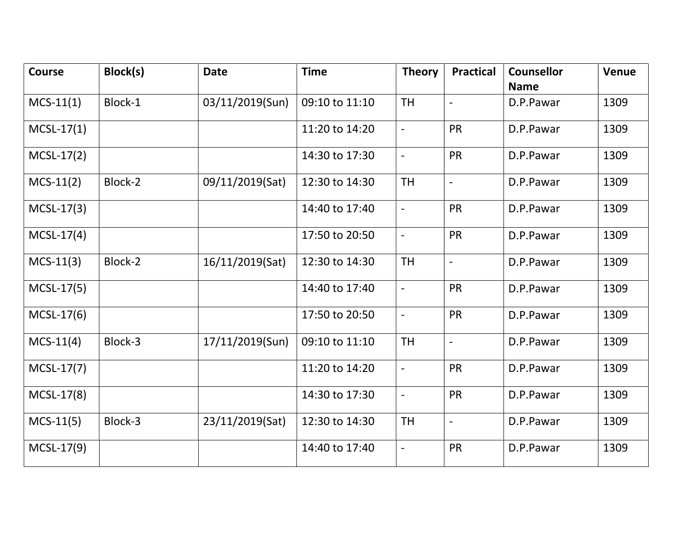| <b>Course</b> | Block(s) | <b>Date</b>     | <b>Time</b>    | <b>Theory</b>            | <b>Practical</b>         | <b>Counsellor</b><br><b>Name</b> | Venue |
|---------------|----------|-----------------|----------------|--------------------------|--------------------------|----------------------------------|-------|
| $MCS-11(1)$   | Block-1  | 03/11/2019(Sun) | 09:10 to 11:10 | <b>TH</b>                |                          | D.P.Pawar                        | 1309  |
| $MCSL-17(1)$  |          |                 | 11:20 to 14:20 | $\overline{a}$           | <b>PR</b>                | D.P.Pawar                        | 1309  |
| $MCSL-17(2)$  |          |                 | 14:30 to 17:30 | $\overline{a}$           | <b>PR</b>                | D.P.Pawar                        | 1309  |
| $MCS-11(2)$   | Block-2  | 09/11/2019(Sat) | 12:30 to 14:30 | <b>TH</b>                | $\overline{\phantom{0}}$ | D.P.Pawar                        | 1309  |
| $MCSL-17(3)$  |          |                 | 14:40 to 17:40 | ÷,                       | <b>PR</b>                | D.P.Pawar                        | 1309  |
| $MCSL-17(4)$  |          |                 | 17:50 to 20:50 | $\overline{\phantom{a}}$ | <b>PR</b>                | D.P.Pawar                        | 1309  |
| $MCS-11(3)$   | Block-2  | 16/11/2019(Sat) | 12:30 to 14:30 | <b>TH</b>                | $\overline{a}$           | D.P.Pawar                        | 1309  |
| $MCSL-17(5)$  |          |                 | 14:40 to 17:40 | $\overline{a}$           | <b>PR</b>                | D.P.Pawar                        | 1309  |
| $MCSL-17(6)$  |          |                 | 17:50 to 20:50 | $\blacksquare$           | <b>PR</b>                | D.P.Pawar                        | 1309  |
| $MCS-11(4)$   | Block-3  | 17/11/2019(Sun) | 09:10 to 11:10 | <b>TH</b>                | $\overline{\phantom{0}}$ | D.P.Pawar                        | 1309  |
| $MCSL-17(7)$  |          |                 | 11:20 to 14:20 | $\overline{\phantom{a}}$ | <b>PR</b>                | D.P.Pawar                        | 1309  |
| $MCSL-17(8)$  |          |                 | 14:30 to 17:30 | $\blacksquare$           | <b>PR</b>                | D.P.Pawar                        | 1309  |
| $MCS-11(5)$   | Block-3  | 23/11/2019(Sat) | 12:30 to 14:30 | <b>TH</b>                | $\blacksquare$           | D.P.Pawar                        | 1309  |
| $MCSL-17(9)$  |          |                 | 14:40 to 17:40 | $\overline{a}$           | <b>PR</b>                | D.P.Pawar                        | 1309  |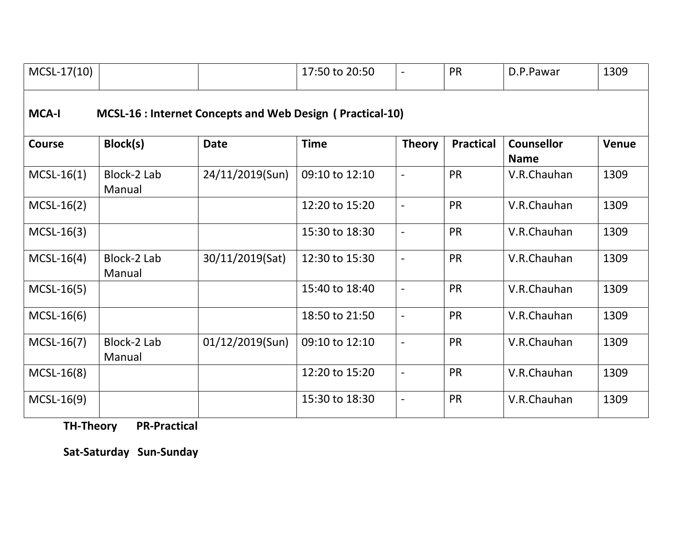| $MCSL-17(10)$                                                                    |                       |                 | 17:50 to 20:50 | $\blacksquare$           | <b>PR</b>        | D.P.Pawar                        | 1309         |  |
|----------------------------------------------------------------------------------|-----------------------|-----------------|----------------|--------------------------|------------------|----------------------------------|--------------|--|
| <b>MCA-I</b><br><b>MCSL-16 : Internet Concepts and Web Design (Practical-10)</b> |                       |                 |                |                          |                  |                                  |              |  |
| <b>Course</b>                                                                    | Block(s)              | <b>Date</b>     | <b>Time</b>    | <b>Theory</b>            | <b>Practical</b> | <b>Counsellor</b><br><b>Name</b> | <b>Venue</b> |  |
| $MCSL-16(1)$                                                                     | Block-2 Lab<br>Manual | 24/11/2019(Sun) | 09:10 to 12:10 | $\blacksquare$           | <b>PR</b>        | V.R.Chauhan                      | 1309         |  |
| $MCSL-16(2)$                                                                     |                       |                 | 12:20 to 15:20 | $\blacksquare$           | <b>PR</b>        | V.R.Chauhan                      | 1309         |  |
| $MCSL-16(3)$                                                                     |                       |                 | 15:30 to 18:30 | $\overline{\phantom{a}}$ | <b>PR</b>        | V.R.Chauhan                      | 1309         |  |
| $MCSL-16(4)$                                                                     | Block-2 Lab<br>Manual | 30/11/2019(Sat) | 12:30 to 15:30 | $\overline{\phantom{a}}$ | <b>PR</b>        | V.R.Chauhan                      | 1309         |  |
| $MCSL-16(5)$                                                                     |                       |                 | 15:40 to 18:40 | $\overline{\phantom{a}}$ | <b>PR</b>        | V.R.Chauhan                      | 1309         |  |
| $MCSL-16(6)$                                                                     |                       |                 | 18:50 to 21:50 | $\overline{\phantom{a}}$ | <b>PR</b>        | V.R.Chauhan                      | 1309         |  |
| $MCSL-16(7)$                                                                     | Block-2 Lab<br>Manual | 01/12/2019(Sun) | 09:10 to 12:10 | $\blacksquare$           | <b>PR</b>        | V.R.Chauhan                      | 1309         |  |
| $MCSL-16(8)$                                                                     |                       |                 | 12:20 to 15:20 | $\overline{a}$           | <b>PR</b>        | V.R.Chauhan                      | 1309         |  |
| $MCSL-16(9)$                                                                     |                       |                 | 15:30 to 18:30 | $\blacksquare$           | <b>PR</b>        | V.R.Chauhan                      | 1309         |  |

TH-Theory PR-Practical

Sat-Saturday Sun-Sunday